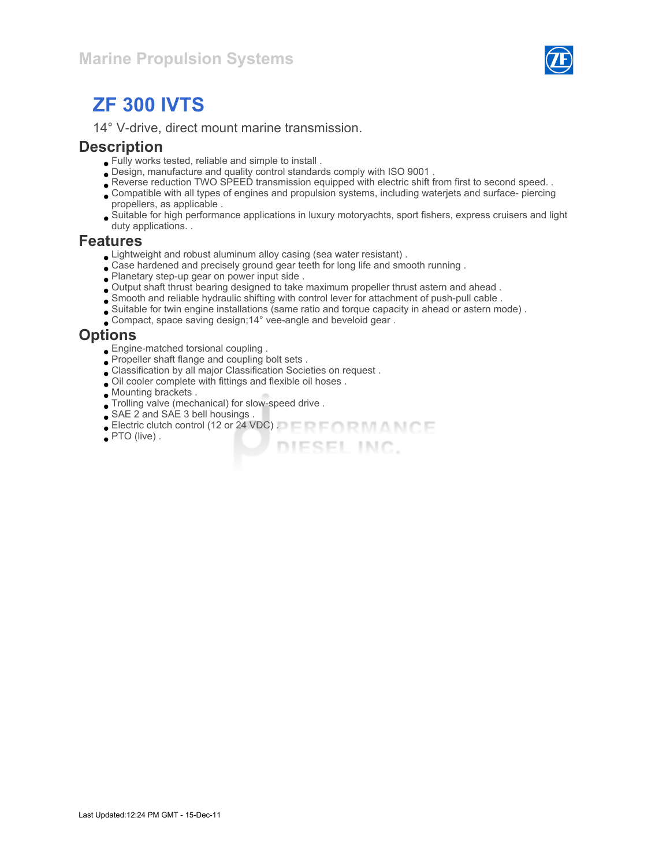

# ZF 300 IVTS

14° V-drive, direct mount marine transmission.

#### **Description**

- Fully works tested, reliable and simple to install .
- Design, manufacture and quality control standards comply with ISO 9001 .
- Reverse reduction TWO SPEED transmission equipped with electric shift from first to second speed. .
- Compatible with all types of engines and propulsion systems, including waterjets and surface- piercing propellers, as applicable .
- Suitable for high performance applications in luxury motoryachts, sport fishers, express cruisers and light duty applications. .

DIESEL INC.

#### Features

- Lightweight and robust aluminum alloy casing (sea water resistant) .
- Case hardened and precisely ground gear teeth for long life and smooth running .
- Planetary step-up gear on power input side .
- Output shaft thrust bearing designed to take maximum propeller thrust astern and ahead .
- Smooth and reliable hydraulic shifting with control lever for attachment of push-pull cable .
- Suitable for twin engine installations (same ratio and torque capacity in ahead or astern mode) .
- Compact, space saving design;14° vee-angle and beveloid gear .

#### **Options**

- Engine-matched torsional coupling .
- Propeller shaft flange and coupling bolt sets .
- Classification by all major Classification Societies on request .
- Oil cooler complete with fittings and flexible oil hoses .
- Mounting brackets .
- Trolling valve (mechanical) for slow-speed drive .
- SAE 2 and SAE 3 bell housings .
- Electric clutch control (12 or 24 VDC) .
- PTO (live) .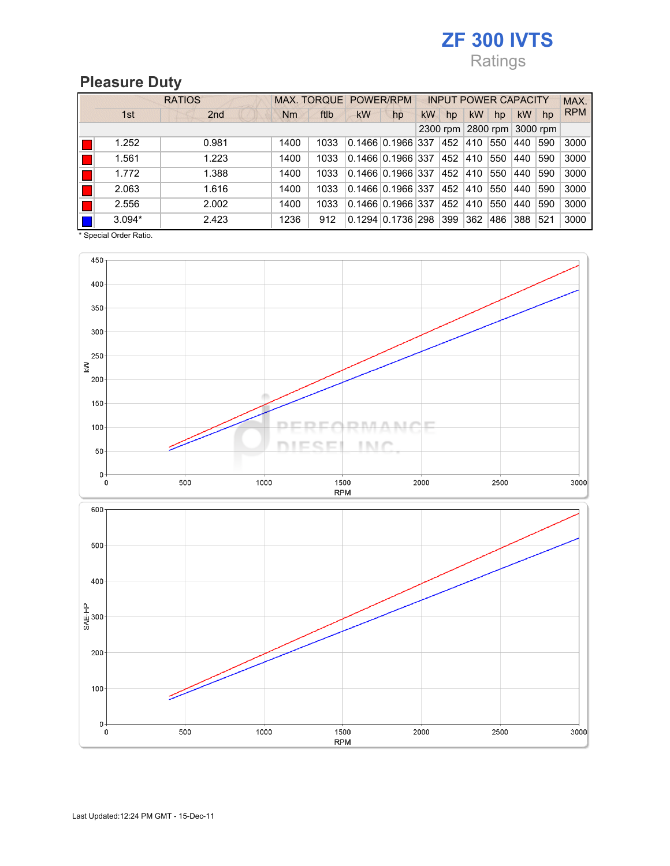## ZF 300 IVTS Ratings

## Pleasure Duty

|            | <b>RATIOS</b> |                 |      | MAX. TORQUE POWER/RPM |           |                               |           | <b>INPUT POWER CAPACITY</b> |           |          |     |          | MAX.       |
|------------|---------------|-----------------|------|-----------------------|-----------|-------------------------------|-----------|-----------------------------|-----------|----------|-----|----------|------------|
|            | 1st           | 2 <sub>nd</sub> | Nm   | ftlb                  | <b>kW</b> | hp                            | <b>kW</b> | hp                          | <b>kW</b> | hp       | kW  | hp       | <b>RPM</b> |
| 2300 rpm   |               |                 |      |                       |           |                               |           |                             |           | 2800 rpm |     | 3000 rpm |            |
| H          | 1.252         | 0.981           | 1400 | 1033                  |           | $0.1466$ $0.1966$ 337         |           | 452                         | 410       | 550      | 440 | 590      | 3000       |
| H          | 1.561         | 1.223           | 1400 | 1033                  |           | $0.1466$ $0.1966$ 337         |           | 452                         | 410       | 550      | 440 | 590      | 3000       |
| H          | 1.772         | 1.388           | 1400 | 1033                  |           | $0.1466$ $0.1966$ 337         |           | 452                         | 410       | 550      | 440 | 590      | 3000       |
|            | 2.063         | 1.616           | 1400 | 1033                  |           | 0.1466 0.1966 337             |           | 452                         | 410       | 550      | 440 | 590      | 3000       |
|            | 2.556         | 2.002           | 1400 | 1033                  |           | $0.1466$ 0.1966 337           |           | 452                         | 410       | 550      | 440 | 590      | 3000       |
| <b>III</b> | $3.094*$      | 2.423           | 1236 | 912                   |           | $0.1294 \mid 0.1736 \mid 298$ |           | 399                         | 362       | 486      | 388 | 521      | 3000       |

\* Special Order Ratio.

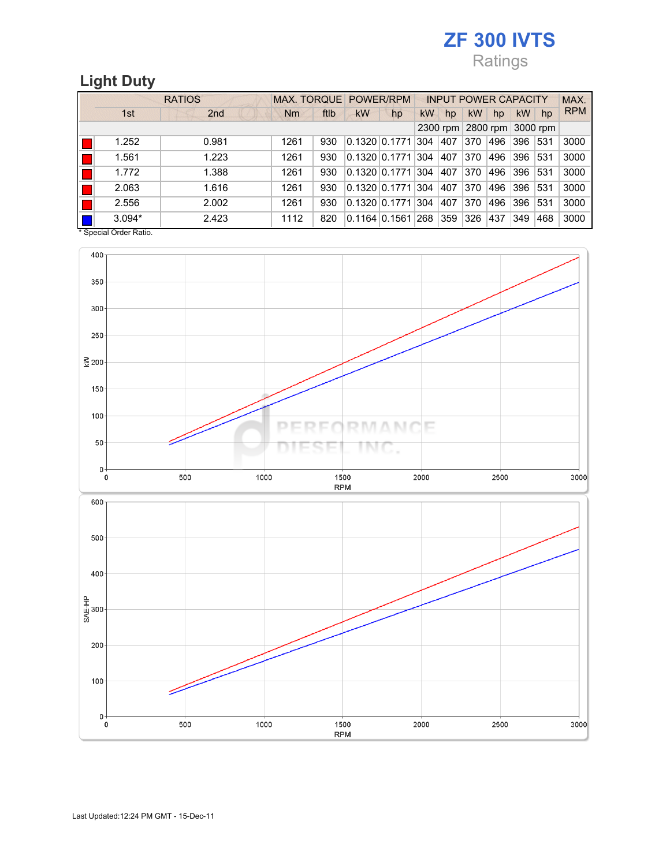## **ZF 300 IVTS** Ratings

## Light Duty

|    |                                           | MAX. TORQUE POWER/RPM |      |      |                   | <b>INPUT POWER CAPACITY</b> |     |                            |           |     | MAX.      |     |            |
|----|-------------------------------------------|-----------------------|------|------|-------------------|-----------------------------|-----|----------------------------|-----------|-----|-----------|-----|------------|
|    | 1st                                       | 2 <sub>nd</sub>       | Nm   | ftlb | kW                | hp                          | kW  | hp                         | <b>kW</b> | hp  | <b>kW</b> | hp  | <b>RPM</b> |
|    |                                           |                       |      |      |                   |                             |     | 2300 rpm 2800 rpm 3000 rpm |           |     |           |     |            |
|    | 1.252                                     | 0.981                 | 1261 | 930  | 0.132010.1771     |                             | 304 | 407                        | 370       | 496 | 396       | 531 | 3000       |
| H. | 1.561                                     | 1.223                 | 1261 | 930  | 0.1320   0.1771   |                             | 304 | 407                        | 370       | 496 | 396       | 531 | 3000       |
| Ш. | 1.772                                     | 1.388                 | 1261 | 930  | 0.132010.1771     |                             | 304 | 407                        | 370       | 496 | 396       | 531 | 3000       |
|    | 2.063                                     | 1.616                 | 1261 | 930  | 0.132010.1771     |                             | 304 | 407                        | 370       | 496 | 396       | 531 | 3000       |
|    | 2.556                                     | 2.002                 | 1261 | 930  | 0.132010.1771     |                             | 304 | 407                        | 370       | 496 | 396       | 531 | 3000       |
|    | $3.094*$<br>$*$ Consider Order Definition | 2.423                 | 1112 | 820  | $0.1164$ $0.1561$ |                             | 268 | 359                        | 326       | 437 | 349       | 468 | 3000       |

Special Order Ratio.

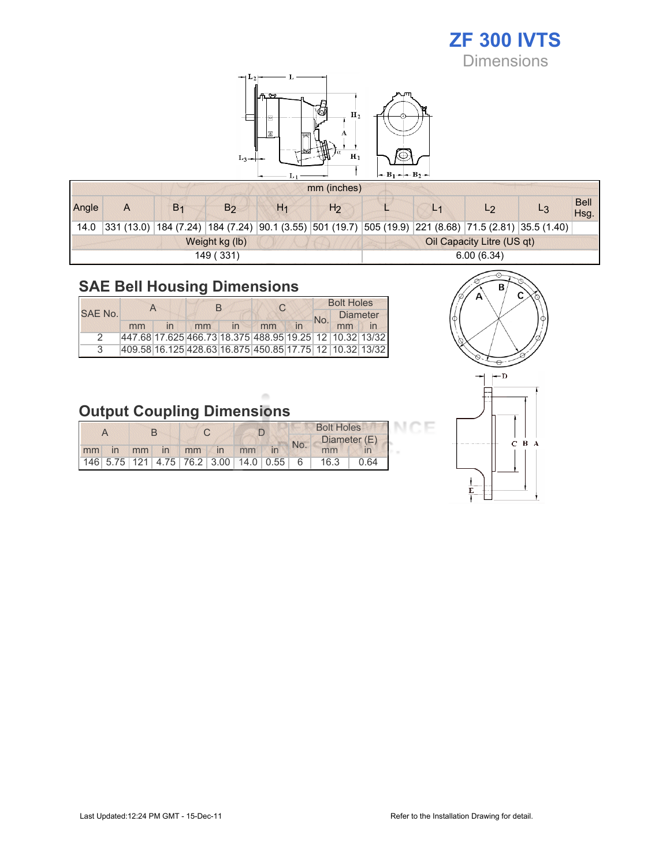# ZF 300 IVTS

Dimensions



|       | mm (inches) |                |                |                                                                                                       |                            |            |                |    |  |                     |  |  |
|-------|-------------|----------------|----------------|-------------------------------------------------------------------------------------------------------|----------------------------|------------|----------------|----|--|---------------------|--|--|
| Angle | A           | B <sub>1</sub> | B <sub>2</sub> | H <sub>1</sub>                                                                                        | H <sub>2</sub>             |            | L <sup>4</sup> | L2 |  | <b>Bell</b><br>Hsq. |  |  |
| 14.0  |             |                |                | 331 (13.0) 184 (7.24) 184 (7.24) 90.1 (3.55) 501 (19.7) 505 (19.9) 221 (8.68) 71.5 (2.81) 35.5 (1.40) |                            |            |                |    |  |                     |  |  |
|       |             |                | Weight kg (lb) |                                                                                                       | Oil Capacity Litre (US qt) |            |                |    |  |                     |  |  |
|       |             |                | 149 (331)      |                                                                                                       |                            | 6.00(6.34) |                |    |  |                     |  |  |

## SAE Bell Housing Dimensions

|               |                                                             |                         |    |              |    | <b>Bolt Holes</b> |    |                 |
|---------------|-------------------------------------------------------------|-------------------------|----|--------------|----|-------------------|----|-----------------|
| SAE No.       |                                                             |                         |    |              |    | No.               |    | <b>Diameter</b> |
|               | mm                                                          | $\overline{\mathsf{I}}$ | mm | $\mathsf{I}$ | mm |                   | mm |                 |
| $\mathcal{P}$ | 447.68 17.625 466.73 18.375 488.95 19.25  12   10.32  13/32 |                         |    |              |    |                   |    |                 |
| $\mathcal{R}$ | 409.58 16.125 428.63 16.875 450.85 17.75 12 10.32 13/32     |                         |    |              |    |                   |    |                 |



## Output Coupling Dimensions

|    |  |    |    |    |  |                                       | <b>Bolt Holes</b> |     |              |      |
|----|--|----|----|----|--|---------------------------------------|-------------------|-----|--------------|------|
|    |  |    |    |    |  |                                       |                   |     | Diameter (E) |      |
| mm |  | mm | In | mm |  | mm                                    |                   | No. |              |      |
|    |  |    |    |    |  | 146 5.75 121 4.75 76.2 3.00 14.0 0.55 |                   | - 6 | 16.3         | ገ 64 |